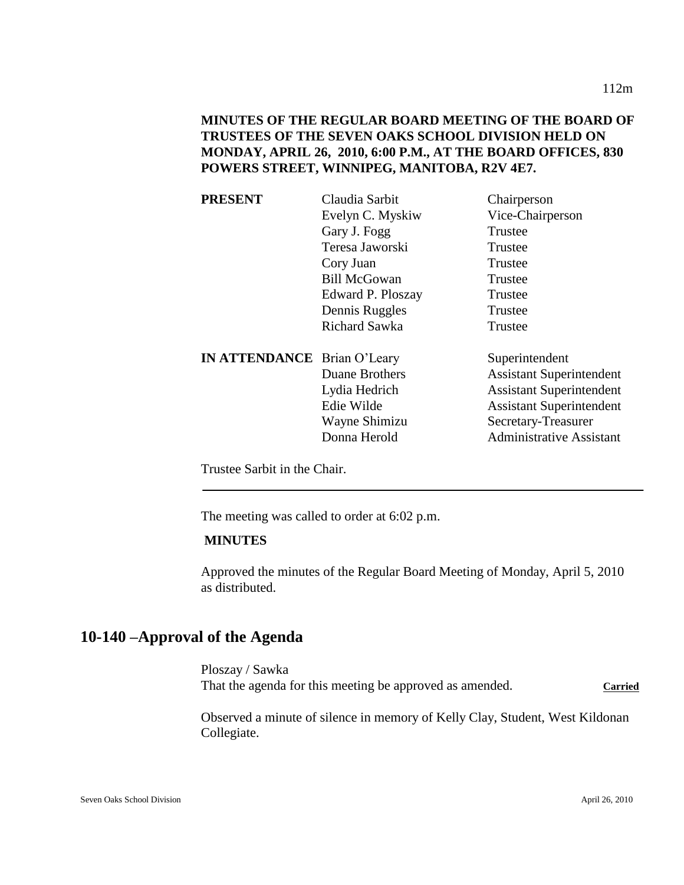# **MINUTES OF THE REGULAR BOARD MEETING OF THE BOARD OF TRUSTEES OF THE SEVEN OAKS SCHOOL DIVISION HELD ON MONDAY, APRIL 26, 2010, 6:00 P.M., AT THE BOARD OFFICES, 830 POWERS STREET, WINNIPEG, MANITOBA, R2V 4E7.**

| <b>PRESENT</b>                     | Claudia Sarbit      | Chairperson                     |
|------------------------------------|---------------------|---------------------------------|
|                                    | Evelyn C. Myskiw    | Vice-Chairperson                |
|                                    | Gary J. Fogg        | Trustee                         |
|                                    | Teresa Jaworski     | Trustee                         |
|                                    | Cory Juan           | Trustee                         |
|                                    | <b>Bill McGowan</b> | Trustee                         |
|                                    | Edward P. Ploszay   | Trustee                         |
|                                    | Dennis Ruggles      | Trustee                         |
|                                    | Richard Sawka       | Trustee                         |
| <b>IN ATTENDANCE</b> Brian O'Leary |                     | Superintendent                  |
|                                    | Duane Brothers      | <b>Assistant Superintendent</b> |
|                                    | Lydia Hedrich       | <b>Assistant Superintendent</b> |
|                                    | Edie Wilde          | <b>Assistant Superintendent</b> |
|                                    | Wayne Shimizu       | Secretary-Treasurer             |
|                                    | Donna Herold        | <b>Administrative Assistant</b> |
|                                    |                     |                                 |

Trustee Sarbit in the Chair.

The meeting was called to order at 6:02 p.m.

### **MINUTES**

Approved the minutes of the Regular Board Meeting of Monday, April 5, 2010 as distributed.

# **10-140 –Approval of the Agenda**

Ploszay / Sawka That the agenda for this meeting be approved as amended. Carried

Observed a minute of silence in memory of Kelly Clay, Student, West Kildonan Collegiate.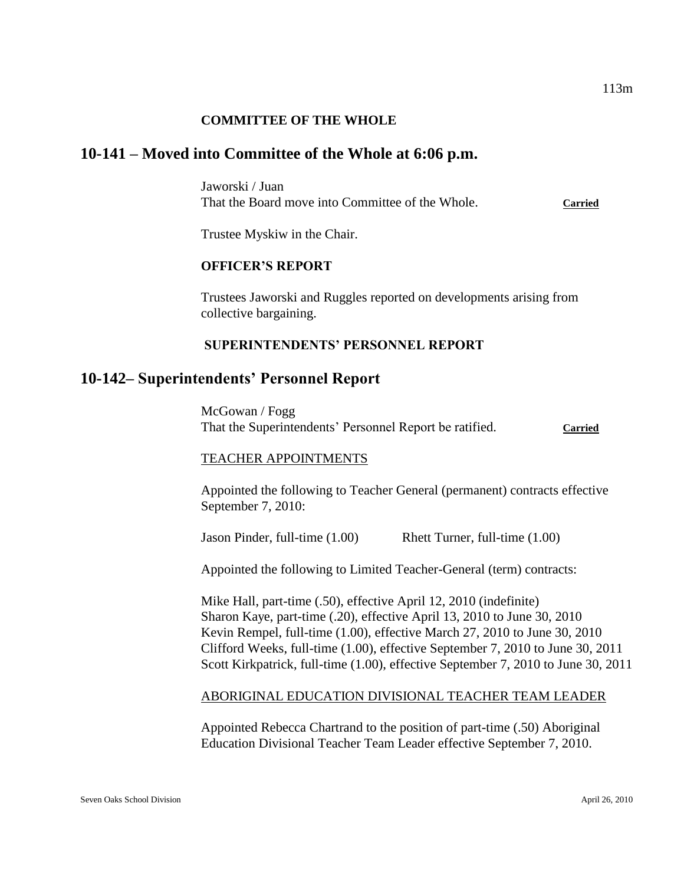## **COMMITTEE OF THE WHOLE**

# **10-141 – Moved into Committee of the Whole at 6:06 p.m.**

Jaworski / Juan That the Board move into Committee of the Whole. **Carried**

Trustee Myskiw in the Chair.

#### **OFFICER'S REPORT**

Trustees Jaworski and Ruggles reported on developments arising from collective bargaining.

## **SUPERINTENDENTS' PERSONNEL REPORT**

### **10-142– Superintendents' Personnel Report**

McGowan / Fogg That the Superintendents' Personnel Report be ratified. **Carried**

#### TEACHER APPOINTMENTS

Appointed the following to Teacher General (permanent) contracts effective September 7, 2010:

Jason Pinder, full-time (1.00) Rhett Turner, full-time (1.00)

Appointed the following to Limited Teacher-General (term) contracts:

Mike Hall, part-time (.50), effective April 12, 2010 (indefinite) Sharon Kaye, part-time (.20), effective April 13, 2010 to June 30, 2010 Kevin Rempel, full-time (1.00), effective March 27, 2010 to June 30, 2010 Clifford Weeks, full-time (1.00), effective September 7, 2010 to June 30, 2011 Scott Kirkpatrick, full-time (1.00), effective September 7, 2010 to June 30, 2011

#### ABORIGINAL EDUCATION DIVISIONAL TEACHER TEAM LEADER

Appointed Rebecca Chartrand to the position of part-time (.50) Aboriginal Education Divisional Teacher Team Leader effective September 7, 2010.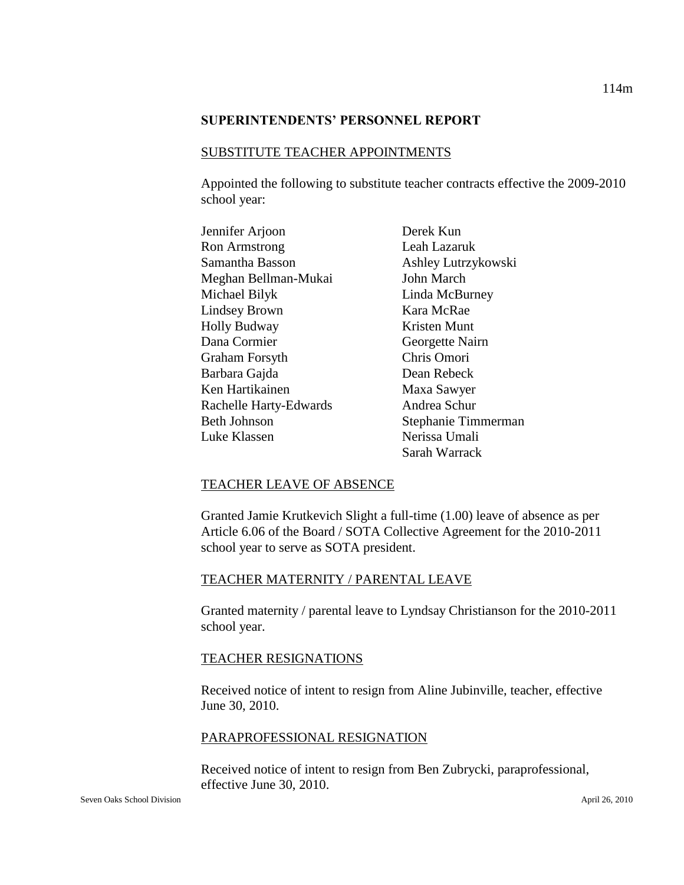#### **SUPERINTENDENTS' PERSONNEL REPORT**

#### SUBSTITUTE TEACHER APPOINTMENTS

Appointed the following to substitute teacher contracts effective the 2009-2010 school year:

| Jennifer Arjoon        |
|------------------------|
| <b>Ron Armstrong</b>   |
| Samantha Basson        |
| Meghan Bellman-Mukai   |
| Michael Bilyk          |
| <b>Lindsey Brown</b>   |
| <b>Holly Budway</b>    |
| Dana Cormier           |
| Graham Forsyth         |
| Barbara Gajda          |
| Ken Hartikainen        |
| Rachelle Harty-Edwards |
| <b>Beth Johnson</b>    |
| Luke Klassen           |
|                        |

Derek Kun Leah Lazaruk Ashley Lutrzykowski John March Linda McBurney Kara McRae Kristen Munt Georgette Nairn Chris Omori Dean Rebeck Maxa Sawyer Andrea Schur Stephanie Timmerman Nerissa Umali Sarah Warrack

### TEACHER LEAVE OF ABSENCE

Granted Jamie Krutkevich Slight a full-time (1.00) leave of absence as per Article 6.06 of the Board / SOTA Collective Agreement for the 2010-2011 school year to serve as SOTA president.

### TEACHER MATERNITY / PARENTAL LEAVE

Granted maternity / parental leave to Lyndsay Christianson for the 2010-2011 school year.

### TEACHER RESIGNATIONS

Received notice of intent to resign from Aline Jubinville, teacher, effective June 30, 2010.

### PARAPROFESSIONAL RESIGNATION

Received notice of intent to resign from Ben Zubrycki, paraprofessional, effective June 30, 2010.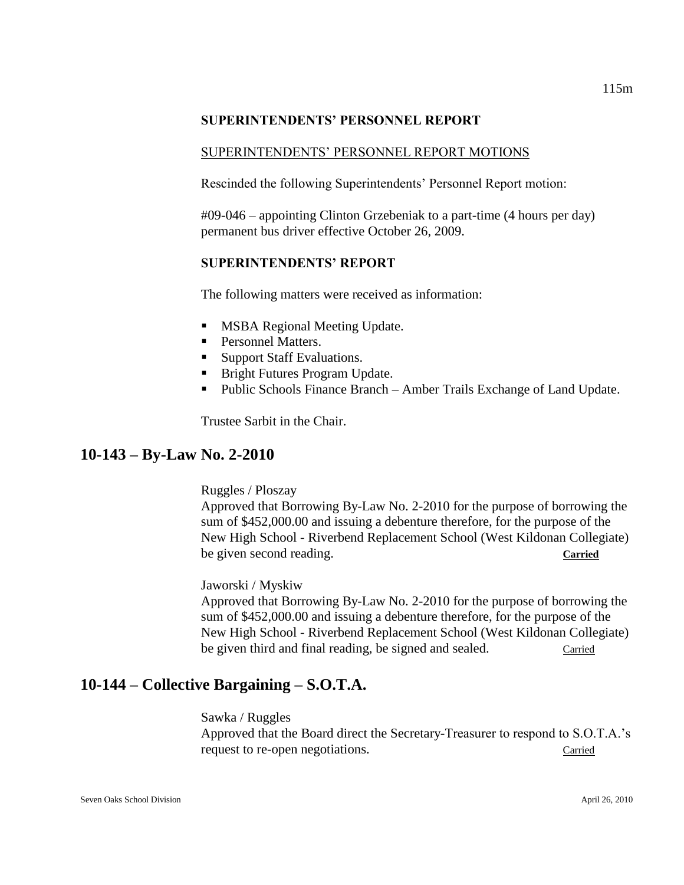# **SUPERINTENDENTS' PERSONNEL REPORT**

# SUPERINTENDENTS' PERSONNEL REPORT MOTIONS

Rescinded the following Superintendents' Personnel Report motion:

#09-046 – appointing Clinton Grzebeniak to a part-time (4 hours per day) permanent bus driver effective October 26, 2009.

# **SUPERINTENDENTS' REPORT**

The following matters were received as information:

- **MSBA Regional Meeting Update.**
- **Personnel Matters.**
- Support Staff Evaluations.
- **Bright Futures Program Update.**
- Public Schools Finance Branch Amber Trails Exchange of Land Update.

Trustee Sarbit in the Chair.

# **10-143 – By-Law No. 2-2010**

# Ruggles / Ploszay

Approved that Borrowing By-Law No. 2-2010 for the purpose of borrowing the sum of \$452,000.00 and issuing a debenture therefore, for the purpose of the New High School - Riverbend Replacement School (West Kildonan Collegiate) be given second reading. **Carried**

# Jaworski / Myskiw

Approved that Borrowing By-Law No. 2-2010 for the purpose of borrowing the sum of \$452,000.00 and issuing a debenture therefore, for the purpose of the New High School - Riverbend Replacement School (West Kildonan Collegiate) be given third and final reading, be signed and sealed. Carried

# **10-144 – Collective Bargaining – S.O.T.A.**

# Sawka / Ruggles

Approved that the Board direct the Secretary-Treasurer to respond to S.O.T.A.'s request to re-open negotiations. Carried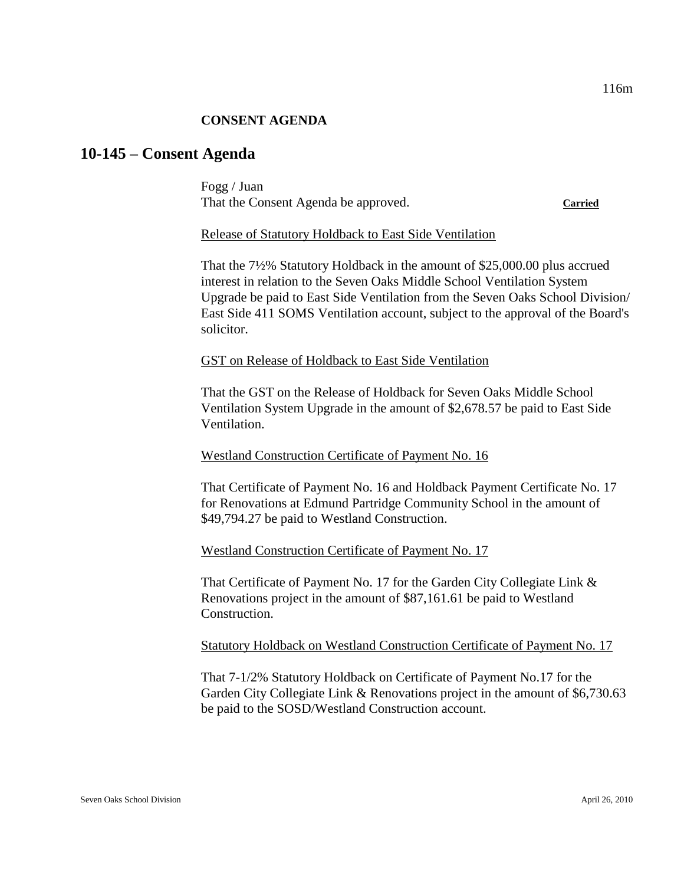### **CONSENT AGENDA**

# **10-145 – Consent Agenda**

Fogg / Juan That the Consent Agenda be approved. **Carried**

### Release of Statutory Holdback to East Side Ventilation

That the 7½% Statutory Holdback in the amount of \$25,000.00 plus accrued interest in relation to the Seven Oaks Middle School Ventilation System Upgrade be paid to East Side Ventilation from the Seven Oaks School Division/ East Side 411 SOMS Ventilation account, subject to the approval of the Board's solicitor.

### GST on Release of Holdback to East Side Ventilation

That the GST on the Release of Holdback for Seven Oaks Middle School Ventilation System Upgrade in the amount of \$2,678.57 be paid to East Side Ventilation.

# Westland Construction Certificate of Payment No. 16

That Certificate of Payment No. 16 and Holdback Payment Certificate No. 17 for Renovations at Edmund Partridge Community School in the amount of \$49,794.27 be paid to Westland Construction.

# Westland Construction Certificate of Payment No. 17

That Certificate of Payment No. 17 for the Garden City Collegiate Link & Renovations project in the amount of \$87,161.61 be paid to Westland Construction.

Statutory Holdback on Westland Construction Certificate of Payment No. 17

That 7-1/2% Statutory Holdback on Certificate of Payment No.17 for the Garden City Collegiate Link & Renovations project in the amount of \$6,730.63 be paid to the SOSD/Westland Construction account.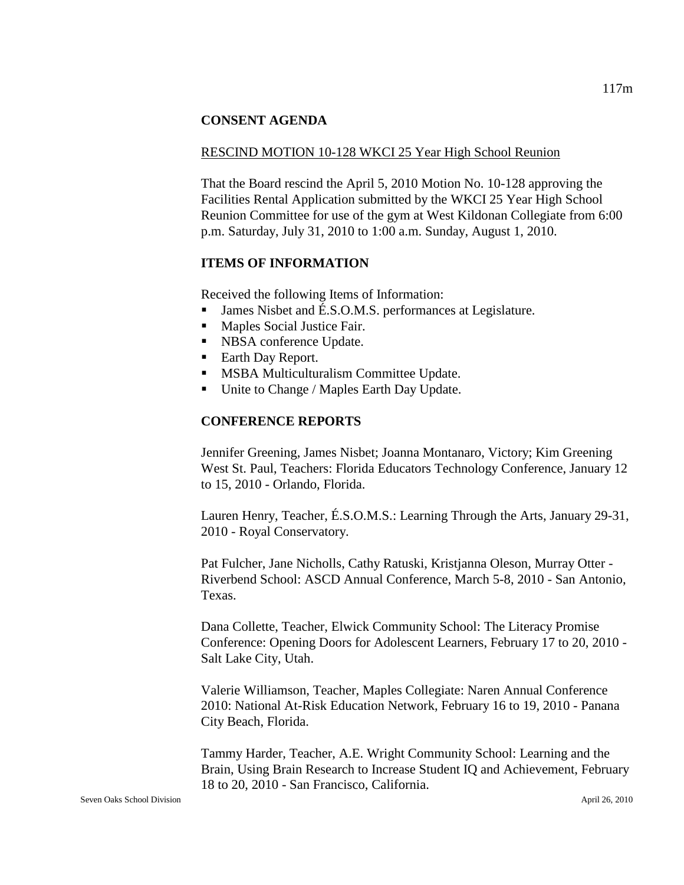### **CONSENT AGENDA**

### RESCIND MOTION 10-128 WKCI 25 Year High School Reunion

That the Board rescind the April 5, 2010 Motion No. 10-128 approving the Facilities Rental Application submitted by the WKCI 25 Year High School Reunion Committee for use of the gym at West Kildonan Collegiate from 6:00 p.m. Saturday, July 31, 2010 to 1:00 a.m. Sunday, August 1, 2010.

### **ITEMS OF INFORMATION**

Received the following Items of Information:

- James Nisbet and É.S.O.M.S. performances at Legislature.
- **Maples Social Justice Fair.**
- NBSA conference Update.
- Earth Day Report.
- **MSBA Multiculturalism Committee Update.**
- Unite to Change / Maples Earth Day Update.

# **CONFERENCE REPORTS**

Jennifer Greening, James Nisbet; Joanna Montanaro, Victory; Kim Greening West St. Paul, Teachers: Florida Educators Technology Conference, January 12 to 15, 2010 - Orlando, Florida.

Lauren Henry, Teacher, É.S.O.M.S.: Learning Through the Arts, January 29-31, 2010 - Royal Conservatory.

Pat Fulcher, Jane Nicholls, Cathy Ratuski, Kristjanna Oleson, Murray Otter - Riverbend School: ASCD Annual Conference, March 5-8, 2010 - San Antonio, Texas.

Dana Collette, Teacher, Elwick Community School: The Literacy Promise Conference: Opening Doors for Adolescent Learners, February 17 to 20, 2010 - Salt Lake City, Utah.

Valerie Williamson, Teacher, Maples Collegiate: Naren Annual Conference 2010: National At-Risk Education Network, February 16 to 19, 2010 - Panana City Beach, Florida.

Tammy Harder, Teacher, A.E. Wright Community School: Learning and the Brain, Using Brain Research to Increase Student IQ and Achievement, February 18 to 20, 2010 - San Francisco, California.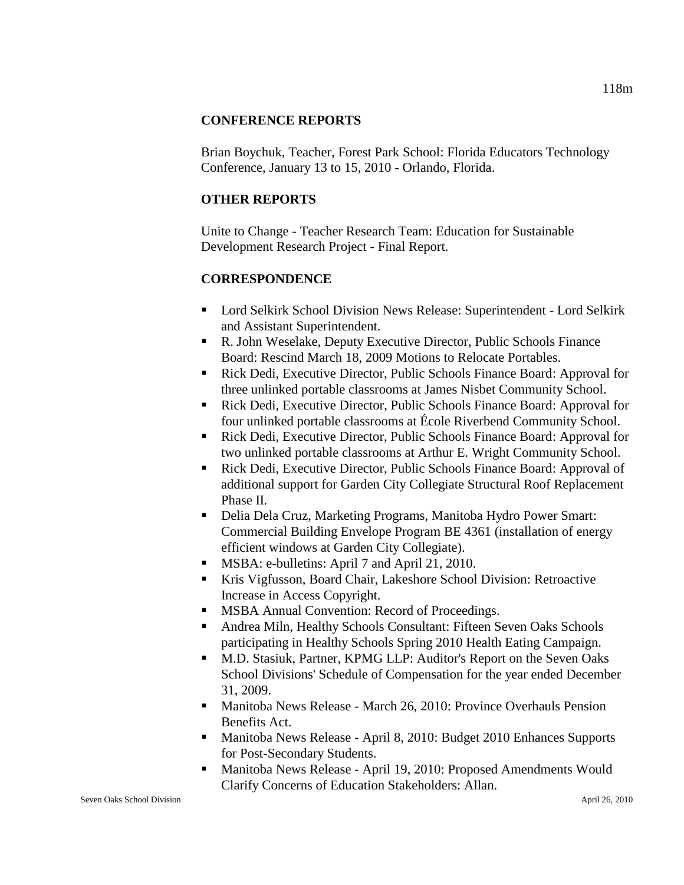# **CONFERENCE REPORTS**

Brian Boychuk, Teacher, Forest Park School: Florida Educators Technology Conference, January 13 to 15, 2010 - Orlando, Florida.

# **OTHER REPORTS**

Unite to Change - Teacher Research Team: Education for Sustainable Development Research Project - Final Report.

# **CORRESPONDENCE**

- Lord Selkirk School Division News Release: Superintendent Lord Selkirk and Assistant Superintendent.
- R. John Weselake, Deputy Executive Director, Public Schools Finance Board: Rescind March 18, 2009 Motions to Relocate Portables.
- Rick Dedi, Executive Director, Public Schools Finance Board: Approval for three unlinked portable classrooms at James Nisbet Community School.
- Rick Dedi, Executive Director, Public Schools Finance Board: Approval for four unlinked portable classrooms at École Riverbend Community School.
- Rick Dedi, Executive Director, Public Schools Finance Board: Approval for two unlinked portable classrooms at Arthur E. Wright Community School.
- Rick Dedi, Executive Director, Public Schools Finance Board: Approval of additional support for Garden City Collegiate Structural Roof Replacement Phase II.
- Delia Dela Cruz, Marketing Programs, Manitoba Hydro Power Smart: Commercial Building Envelope Program BE 4361 (installation of energy efficient windows at Garden City Collegiate).
- **MSBA: e-bulletins: April 7 and April 21, 2010.**
- Kris Vigfusson, Board Chair, Lakeshore School Division: Retroactive Increase in Access Copyright.
- MSBA Annual Convention: Record of Proceedings.
- Andrea Miln, Healthy Schools Consultant: Fifteen Seven Oaks Schools participating in Healthy Schools Spring 2010 Health Eating Campaign.
- M.D. Stasiuk, Partner, KPMG LLP: Auditor's Report on the Seven Oaks School Divisions' Schedule of Compensation for the year ended December 31, 2009.
- **Manitoba News Release March 26, 2010: Province Overhauls Pension** Benefits Act.
- **Manitoba News Release April 8, 2010: Budget 2010 Enhances Supports** for Post-Secondary Students.
- Manitoba News Release April 19, 2010: Proposed Amendments Would Clarify Concerns of Education Stakeholders: Allan.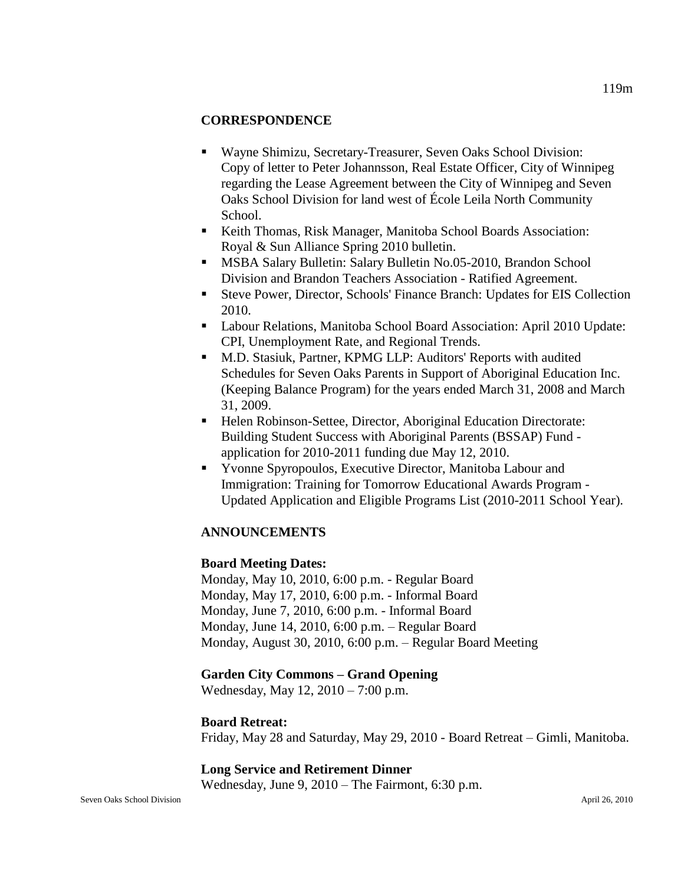## **CORRESPONDENCE**

- Wayne Shimizu, Secretary-Treasurer, Seven Oaks School Division: Copy of letter to Peter Johannsson, Real Estate Officer, City of Winnipeg regarding the Lease Agreement between the City of Winnipeg and Seven Oaks School Division for land west of École Leila North Community School.
- Keith Thomas, Risk Manager, Manitoba School Boards Association: Royal & Sun Alliance Spring 2010 bulletin.
- MSBA Salary Bulletin: Salary Bulletin No.05-2010, Brandon School Division and Brandon Teachers Association - Ratified Agreement.
- Steve Power, Director, Schools' Finance Branch: Updates for EIS Collection 2010.
- Labour Relations, Manitoba School Board Association: April 2010 Update: CPI, Unemployment Rate, and Regional Trends.
- M.D. Stasiuk, Partner, KPMG LLP: Auditors' Reports with audited Schedules for Seven Oaks Parents in Support of Aboriginal Education Inc. (Keeping Balance Program) for the years ended March 31, 2008 and March 31, 2009.
- Helen Robinson-Settee, Director, Aboriginal Education Directorate: Building Student Success with Aboriginal Parents (BSSAP) Fund application for 2010-2011 funding due May 12, 2010.
- Yvonne Spyropoulos, Executive Director, Manitoba Labour and Immigration: Training for Tomorrow Educational Awards Program - Updated Application and Eligible Programs List (2010-2011 School Year).

# **ANNOUNCEMENTS**

### **Board Meeting Dates:**

Monday, May 10, 2010, 6:00 p.m. - Regular Board Monday, May 17, 2010, 6:00 p.m. - Informal Board Monday, June 7, 2010, 6:00 p.m. - Informal Board Monday, June 14, 2010, 6:00 p.m. – Regular Board Monday, August 30, 2010, 6:00 p.m. – Regular Board Meeting

### **Garden City Commons – Grand Opening**

Wednesday, May 12, 2010 – 7:00 p.m.

#### **Board Retreat:**

Friday, May 28 and Saturday, May 29, 2010 - Board Retreat – Gimli, Manitoba.

### **Long Service and Retirement Dinner**

Wednesday, June 9, 2010 – The Fairmont, 6:30 p.m.